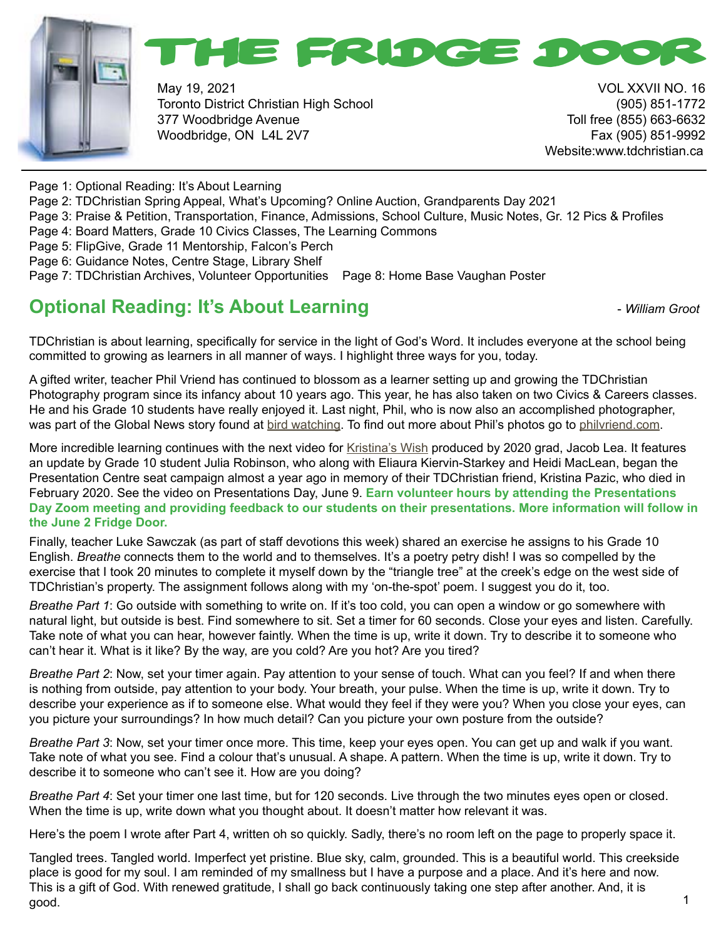



May 19, 2021 VOL XXVII NO. 16 Toronto District Christian High School (905) 851-1772 377 Woodbridge Avenue Toll free (855) 663-6632 Woodbridge, ON L4L 2V7 Fax (905) 851-9992

Website:www.tdchristian.ca

- Page 1: Optional Reading: It's About Learning
- Page 2: TDChristian Spring Appeal, What's Upcoming? Online Auction, Grandparents Day 2021
- Page 3: Praise & Petition, Transportation, Finance, Admissions, School Culture, Music Notes, Gr. 12 Pics & Profiles
- Page 4: Board Matters, Grade 10 Civics Classes, The Learning Commons
- Page 5: FlipGive, Grade 11 Mentorship, Falcon's Perch
- Page 6: Guidance Notes, Centre Stage, Library Shelf
- Page 7: TDChristian Archives, Volunteer Opportunities Page 8: Home Base Vaughan Poster

## **Optional Reading: It's About Learning**   $\blacksquare$  - *William Groot*

TDChristian is about learning, specifically for service in the light of God's Word. It includes everyone at the school being committed to growing as learners in all manner of ways. I highlight three ways for you, today.

A gifted writer, teacher Phil Vriend has continued to blossom as a learner setting up and growing the TDChristian Photography program since its infancy about 10 years ago. This year, he has also taken on two Civics & Careers classes. He and his Grade 10 students have really enjoyed it. Last night, Phil, who is now also an accomplished photographer, was part of the Global News story found at [bird watching](https://globalnews.ca/news/7873227/toronto-bird-watching-covid-stay-at-home-order/?fbclid=IwAR28WvOE3sMCqBeQFLmOOiXQHeo1mL21mcmA_NBasCQQqtxul81GKCA7lfU). To find out more about Phil's photos go to [philvriend.com.](http://philvriend.com)

More incredible learning continues with the next video for [Kristina's Wish](https://www.tdchristian.ca/wish) produced by 2020 grad, Jacob Lea. It features an update by Grade 10 student Julia Robinson, who along with Eliaura Kiervin-Starkey and Heidi MacLean, began the Presentation Centre seat campaign almost a year ago in memory of their TDChristian friend, Kristina Pazic, who died in February 2020. See the video on Presentations Day, June 9. **Earn volunteer hours by attending the Presentations Day Zoom meeting and providing feedback to our students on their presentations. More information will follow in the June 2 Fridge Door.**

Finally, teacher Luke Sawczak (as part of staff devotions this week) shared an exercise he assigns to his Grade 10 English. *Breathe* connects them to the world and to themselves. It's a poetry petry dish! I was so compelled by the exercise that I took 20 minutes to complete it myself down by the "triangle tree" at the creek's edge on the west side of TDChristian's property. The assignment follows along with my 'on-the-spot' poem. I suggest you do it, too.

*Breathe Part 1*: Go outside with something to write on. If it's too cold, you can open a window or go somewhere with natural light, but outside is best. Find somewhere to sit. Set a timer for 60 seconds. Close your eyes and listen. Carefully. Take note of what you can hear, however faintly. When the time is up, write it down. Try to describe it to someone who can't hear it. What is it like? By the way, are you cold? Are you hot? Are you tired?

*Breathe Part 2*: Now, set your timer again. Pay attention to your sense of touch. What can you feel? If and when there is nothing from outside, pay attention to your body. Your breath, your pulse. When the time is up, write it down. Try to describe your experience as if to someone else. What would they feel if they were you? When you close your eyes, can you picture your surroundings? In how much detail? Can you picture your own posture from the outside?

*Breathe Part 3*: Now, set your timer once more. This time, keep your eyes open. You can get up and walk if you want. Take note of what you see. Find a colour that's unusual. A shape. A pattern. When the time is up, write it down. Try to describe it to someone who can't see it. How are you doing?

*Breathe Part 4*: Set your timer one last time, but for 120 seconds. Live through the two minutes eyes open or closed. When the time is up, write down what you thought about. It doesn't matter how relevant it was.

Here's the poem I wrote after Part 4, written oh so quickly. Sadly, there's no room left on the page to properly space it.

Tangled trees. Tangled world. Imperfect yet pristine. Blue sky, calm, grounded. This is a beautiful world. This creekside place is good for my soul. I am reminded of my smallness but I have a purpose and a place. And it's here and now. This is a gift of God. With renewed gratitude, I shall go back continuously taking one step after another. And, it is good.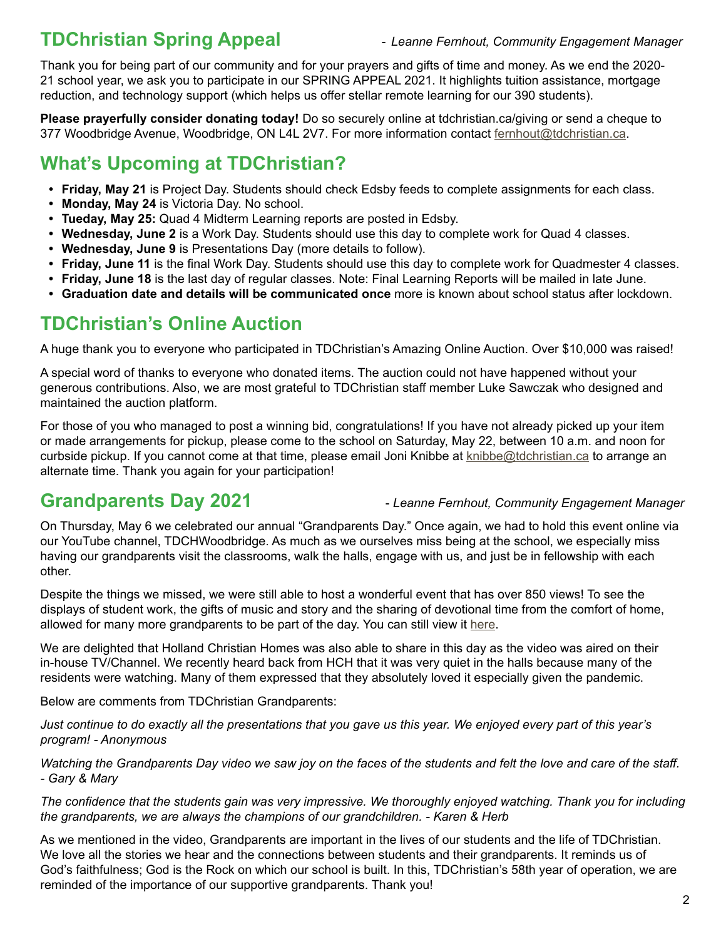## **TDChristian Spring Appeal** - *Leanne Fernhout, Community Engagement Manager*

Thank you for being part of our community and for your prayers and gifts of time and money. As we end the 2020- 21 school year, we ask you to participate in our SPRING APPEAL 2021. It highlights tuition assistance, mortgage reduction, and technology support (which helps us offer stellar remote learning for our 390 students).

**Please prayerfully consider donating today!** Do so securely online at tdchristian.ca/giving or send a cheque to 377 Woodbridge Avenue, Woodbridge, ON L4L 2V7. For more information contact [fernhout@tdchristian.ca](mailto:fernhout%40tdchristian.ca?subject=).

## **What's Upcoming at TDChristian?**

- **• Friday, May 21** is Project Day. Students should check Edsby feeds to complete assignments for each class.
- **• Monday, May 24** is Victoria Day. No school.
- **• Tueday, May 25:** Quad 4 Midterm Learning reports are posted in Edsby.
- **• Wednesday, June 2** is a Work Day. Students should use this day to complete work for Quad 4 classes.
- **• Wednesday, June 9** is Presentations Day (more details to follow).
- **• Friday, June 11** is the final Work Day. Students should use this day to complete work for Quadmester 4 classes.
- **• Friday, June 18** is the last day of regular classes. Note: Final Learning Reports will be mailed in late June.
- **• Graduation date and details will be communicated once** more is known about school status after lockdown.

## **TDChristian's Online Auction**

A huge thank you to everyone who participated in TDChristian's Amazing Online Auction. Over \$10,000 was raised!

A special word of thanks to everyone who donated items. The auction could not have happened without your generous contributions. Also, we are most grateful to TDChristian staff member Luke Sawczak who designed and maintained the auction platform.

For those of you who managed to post a winning bid, congratulations! If you have not already picked up your item or made arrangements for pickup, please come to the school on Saturday, May 22, between 10 a.m. and noon for curbside pickup. If you cannot come at that time, please email Joni Knibbe at [knibbe@tdchristian.ca](mailto:knibbe%40tdchristian.ca?subject=) to arrange an alternate time. Thank you again for your participation!

**Grandparents Day 2021 - Leanne Fernhout, Community Engagement Manager** 

On Thursday, May 6 we celebrated our annual "Grandparents Day." Once again, we had to hold this event online via our YouTube channel, TDCHWoodbridge. As much as we ourselves miss being at the school, we especially miss having our grandparents visit the classrooms, walk the halls, engage with us, and just be in fellowship with each other.

Despite the things we missed, we were still able to host a wonderful event that has over 850 views! To see the displays of student work, the gifts of music and story and the sharing of devotional time from the comfort of home, allowed for many more grandparents to be part of the day. You can still view it [here.](https://www.youtube.com/watch?v=NG3S7EYLpwk&t=1s)

We are delighted that Holland Christian Homes was also able to share in this day as the video was aired on their in-house TV/Channel. We recently heard back from HCH that it was very quiet in the halls because many of the residents were watching. Many of them expressed that they absolutely loved it especially given the pandemic.

Below are comments from TDChristian Grandparents:

*Just continue to do exactly all the presentations that you gave us this year. We enjoyed every part of this year's program! - Anonymous*

*Watching the Grandparents Day video we saw joy on the faces of the students and felt the love and care of the staff. - Gary & Mary*

*The confidence that the students gain was very impressive. We thoroughly enjoyed watching. Thank you for including the grandparents, we are always the champions of our grandchildren. - Karen & Herb*

As we mentioned in the video, Grandparents are important in the lives of our students and the life of TDChristian. We love all the stories we hear and the connections between students and their grandparents. It reminds us of God's faithfulness; God is the Rock on which our school is built. In this, TDChristian's 58th year of operation, we are reminded of the importance of our supportive grandparents. Thank you!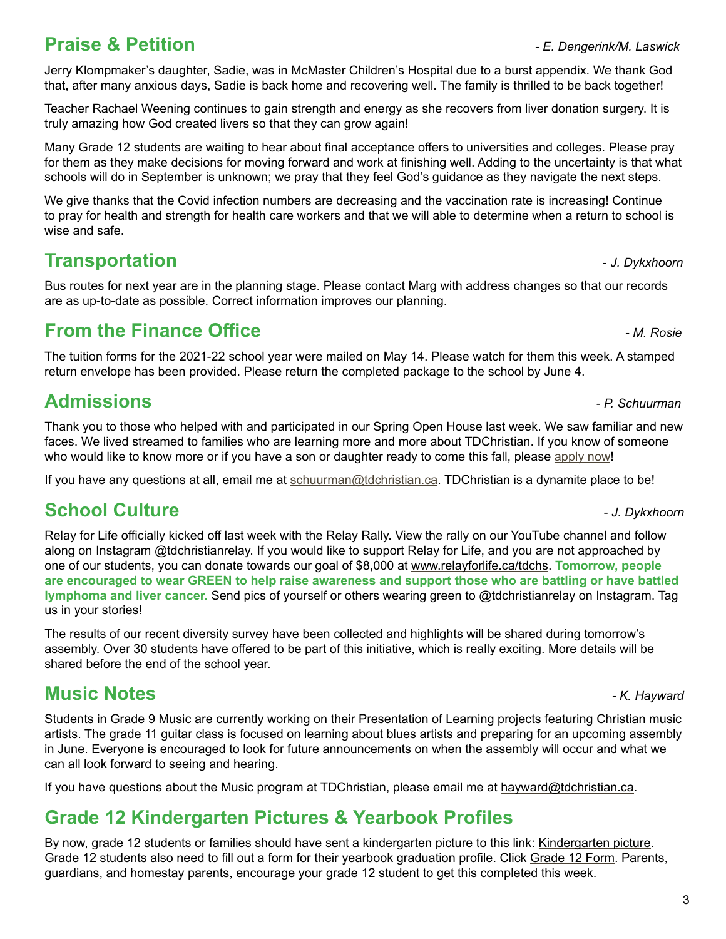## **Praise & Petition** *- E. Dengerink/M. Laswick*

Jerry Klompmaker's daughter, Sadie, was in McMaster Children's Hospital due to a burst appendix. We thank God that, after many anxious days, Sadie is back home and recovering well. The family is thrilled to be back together!

Teacher Rachael Weening continues to gain strength and energy as she recovers from liver donation surgery. It is truly amazing how God created livers so that they can grow again!

Many Grade 12 students are waiting to hear about final acceptance offers to universities and colleges. Please pray for them as they make decisions for moving forward and work at finishing well. Adding to the uncertainty is that what schools will do in September is unknown; we pray that they feel God's guidance as they navigate the next steps.

We give thanks that the Covid infection numbers are decreasing and the vaccination rate is increasing! Continue to pray for health and strength for health care workers and that we will able to determine when a return to school is wise and safe.

## **Transportation 1.** The *J. Dykxhoorn*

Bus routes for next year are in the planning stage. Please contact Marg with address changes so that our records are as up-to-date as possible. Correct information improves our planning.

## **From the Finance Office** *- M. Rosie*

The tuition forms for the 2021-22 school year were mailed on May 14. Please watch for them this week. A stamped return envelope has been provided. Please return the completed package to the school by June 4.

## **Admissions** *- P. Schuurman*

Thank you to those who helped with and participated in our Spring Open House last week. We saw familiar and new faces. We lived streamed to families who are learning more and more about TDChristian. If you know of someone who would like to know more or if you have a son or daughter ready to come this fall, please [apply now](https://www.tdchristian.ca/studentadmissions)!

If you have any questions at all, email me at [schuurman@tdchristian.ca](mailto:schuurman%40tdchristian.ca?subject=). TDChristian is a dynamite place to be!

## **School Culture -** *J. Dykxhoorn***</del>**

Relay for Life officially kicked off last week with the Relay Rally. View the rally on our YouTube channel and follow along on Instagram @tdchristianrelay. If you would like to support Relay for Life, and you are not approached by one of our students, you can donate towards our goal of \$8,000 at [www.relayforlife.ca/tdchs.](http://www.relayforlife.ca/tdchs) **Tomorrow, people are encouraged to wear GREEN to help raise awareness and support those who are battling or have battled lymphoma and liver cancer.** Send pics of yourself or others wearing green to @tdchristianrelay on Instagram. Tag us in your stories!

The results of our recent diversity survey have been collected and highlights will be shared during tomorrow's assembly. Over 30 students have offered to be part of this initiative, which is really exciting. More details will be shared before the end of the school year.

## **Music Notes** *- K. Hayward*

Students in Grade 9 Music are currently working on their Presentation of Learning projects featuring Christian music artists. The grade 11 guitar class is focused on learning about blues artists and preparing for an upcoming assembly in June. Everyone is encouraged to look for future announcements on when the assembly will occur and what we can all look forward to seeing and hearing.

If you have questions about the Music program at TDChristian, please email me at [hayward@tdchristian.ca.](mailto:hayward%40tdchristian.ca?subject=)

# **Grade 12 Kindergarten Pictures & Yearbook Profiles**

By now, grade 12 students or families should have sent a kindergarten picture to this link: [Kindergarten picture.](https://www.dropbox.com/request/P6dj33m0ucaSWvYTEIwr) Grade 12 students also need to fill out a form for their yearbook graduation profile. Click [Grade 12 Form.](https://forms.gle/2nMjFCM8G8STppU99) Parents, guardians, and homestay parents, encourage your grade 12 student to get this completed this week.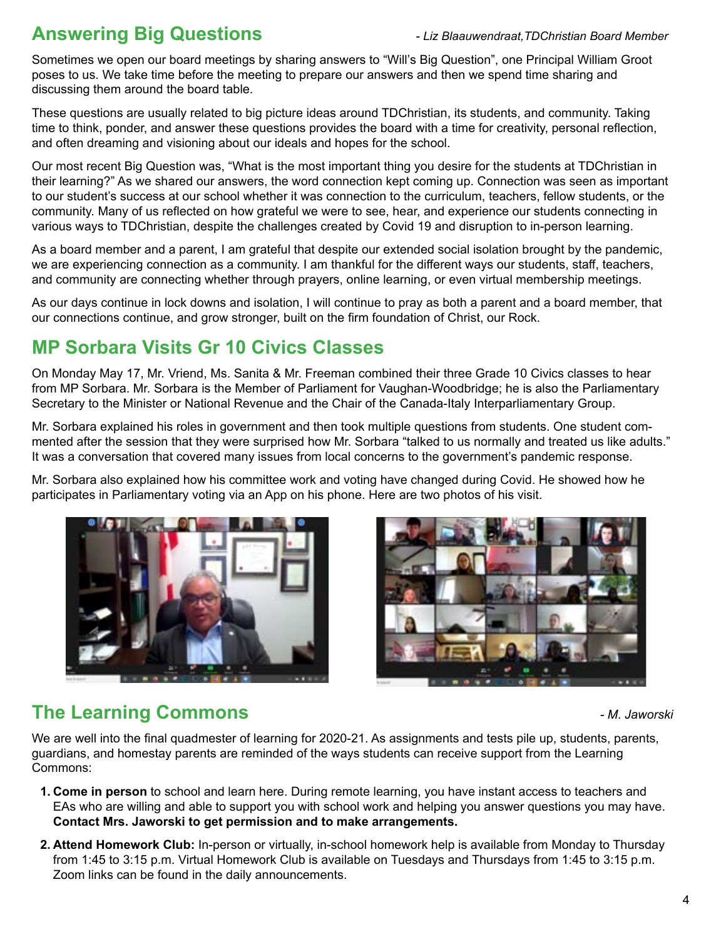## **Answering Big Questions** *- Liz Blaauwendraat,TDChristian Board Member*

Sometimes we open our board meetings by sharing answers to "Will's Big Question", one Principal William Groot poses to us. We take time before the meeting to prepare our answers and then we spend time sharing and discussing them around the board table.

These questions are usually related to big picture ideas around TDChristian, its students, and community. Taking time to think, ponder, and answer these questions provides the board with a time for creativity, personal reflection, and often dreaming and visioning about our ideals and hopes for the school.

Our most recent Big Question was, "What is the most important thing you desire for the students at TDChristian in their learning?" As we shared our answers, the word connection kept coming up. Connection was seen as important to our student's success at our school whether it was connection to the curriculum, teachers, fellow students, or the community. Many of us reflected on how grateful we were to see, hear, and experience our students connecting in various ways to TDChristian, despite the challenges created by Covid 19 and disruption to in-person learning.

As a board member and a parent, I am grateful that despite our extended social isolation brought by the pandemic, we are experiencing connection as a community. I am thankful for the different ways our students, staff, teachers, and community are connecting whether through prayers, online learning, or even virtual membership meetings.

As our days continue in lock downs and isolation, I will continue to pray as both a parent and a board member, that our connections continue, and grow stronger, built on the firm foundation of Christ, our Rock.

## **MP Sorbara Visits Gr 10 Civics Classes**

On Monday May 17, Mr. Vriend, Ms. Sanita & Mr. Freeman combined their three Grade 10 Civics classes to hear from MP Sorbara. Mr. Sorbara is the Member of Parliament for Vaughan-Woodbridge; he is also the Parliamentary Secretary to the Minister or National Revenue and the Chair of the Canada-Italy Interparliamentary Group.

Mr. Sorbara explained his roles in government and then took multiple questions from students. One student commented after the session that they were surprised how Mr. Sorbara "talked to us normally and treated us like adults." It was a conversation that covered many issues from local concerns to the government's pandemic response.

Mr. Sorbara also explained how his committee work and voting have changed during Covid. He showed how he participates in Parliamentary voting via an App on his phone. Here are two photos of his visit.





## **The Learning Commons** *- M. Jaworski*

We are well into the final quadmester of learning for 2020-21. As assignments and tests pile up, students, parents, guardians, and homestay parents are reminded of the ways students can receive support from the Learning Commons:

- **1. Come in person** to school and learn here. During remote learning, you have instant access to teachers and EAs who are willing and able to support you with school work and helping you answer questions you may have. **Contact Mrs. Jaworski to get permission and to make arrangements.**
- **2. Attend Homework Club:** In-person or virtually, in-school homework help is available from Monday to Thursday from 1:45 to 3:15 p.m. Virtual Homework Club is available on Tuesdays and Thursdays from 1:45 to 3:15 p.m. Zoom links can be found in the daily announcements.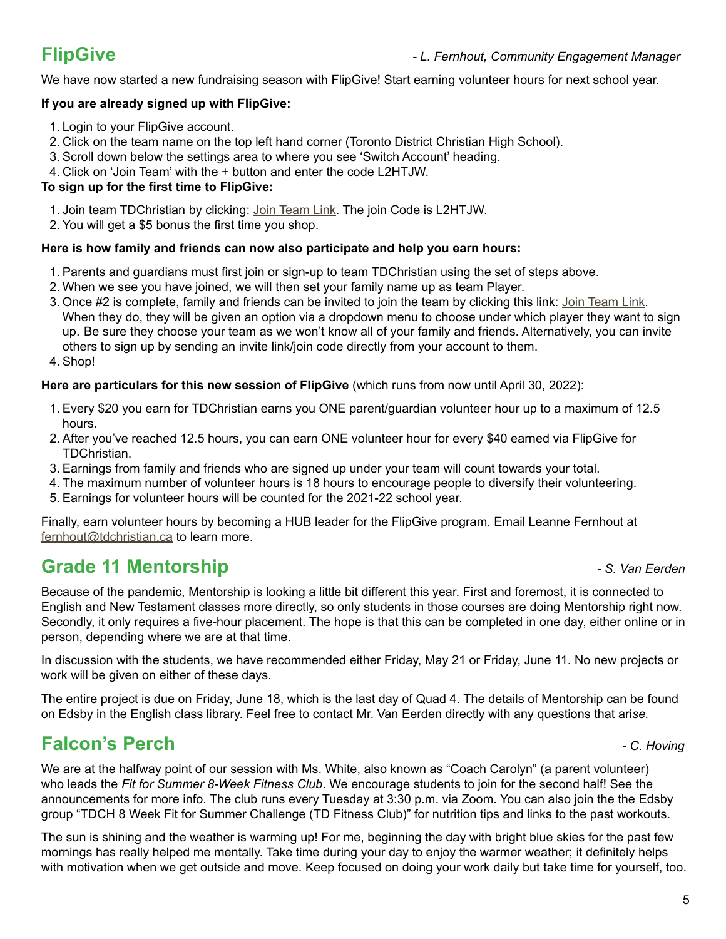We have now started a new fundraising season with FlipGive! Start earning volunteer hours for next school year.

## **If you are already signed up with FlipGive:**

- 1. Login to your FlipGive account.
- 2. Click on the team name on the top left hand corner (Toronto District Christian High School).
- 3. Scroll down below the settings area to where you see 'Switch Account' heading.
- 4. Click on 'Join Team' with the + button and enter the code L2HTJW.

## **To sign up for the first time to FlipGive:**

- 1. Join team TDChristian by clicking: [Join Team Link](https://www.flipgive.com/teams/261509/joins/intro?joincode=L2HTJW). The join Code is L2HTJW.
- 2. You will get a \$5 bonus the first time you shop.

## **Here is how family and friends can now also participate and help you earn hours:**

- 1. Parents and guardians must first join or sign-up to team TDChristian using the set of steps above.
- 2. When we see you have joined, we will then set your family name up as team Player.
- 3. Once #2 is complete, family and friends can be invited to join the team by clicking this link: [Join Team Link.](https://flipgive.app.link/teams/join?fundraiser_name=Leanne&joincode=L2HTJW) When they do, they will be given an option via a dropdown menu to choose under which player they want to sign up. Be sure they choose your team as we won't know all of your family and friends. Alternatively, you can invite others to sign up by sending an invite link/join code directly from your account to them.
- 4. Shop!

## **Here are particulars for this new session of FlipGive** (which runs from now until April 30, 2022):

- 1. Every \$20 you earn for TDChristian earns you ONE parent/guardian volunteer hour up to a maximum of 12.5 hours.
- 2. After you've reached 12.5 hours, you can earn ONE volunteer hour for every \$40 earned via FlipGive for TDChristian.
- 3. Earnings from family and friends who are signed up under your team will count towards your total.
- 4. The maximum number of volunteer hours is 18 hours to encourage people to diversify their volunteering.
- 5. Earnings for volunteer hours will be counted for the 2021-22 school year.

Finally, earn volunteer hours by becoming a HUB leader for the FlipGive program. Email Leanne Fernhout at [fernhout@tdchristian.ca](mailto:fernhout%40tdchristian.ca?subject=) to learn more.

## **Grade 11 Mentorship** *- S. Van Eerden*

Because of the pandemic, Mentorship is looking a little bit different this year. First and foremost, it is connected to English and New Testament classes more directly, so only students in those courses are doing Mentorship right now. Secondly, it only requires a five-hour placement. The hope is that this can be completed in one day, either online or in person, depending where we are at that time.

In discussion with the students, we have recommended either Friday, May 21 or Friday, June 11. No new projects or work will be given on either of these days.

The entire project is due on Friday, June 18, which is the last day of Quad 4. The details of Mentorship can be found on Edsby in the English class library. Feel free to contact Mr. Van Eerden directly with any questions that ari*se.*

## **Falcon's Perch** *- C. Hoving*

We are at the halfway point of our session with Ms. White, also known as "Coach Carolyn" (a parent volunteer) who leads the *Fit for Summer 8-Week Fitness Club*. We encourage students to join for the second half! See the announcements for more info. The club runs every Tuesday at 3:30 p.m. via Zoom. You can also join the the Edsby group "TDCH 8 Week Fit for Summer Challenge (TD Fitness Club)" for nutrition tips and links to the past workouts.

The sun is shining and the weather is warming up! For me, beginning the day with bright blue skies for the past few mornings has really helped me mentally. Take time during your day to enjoy the warmer weather; it definitely helps with motivation when we get outside and move. Keep focused on doing your work daily but take time for yourself, too.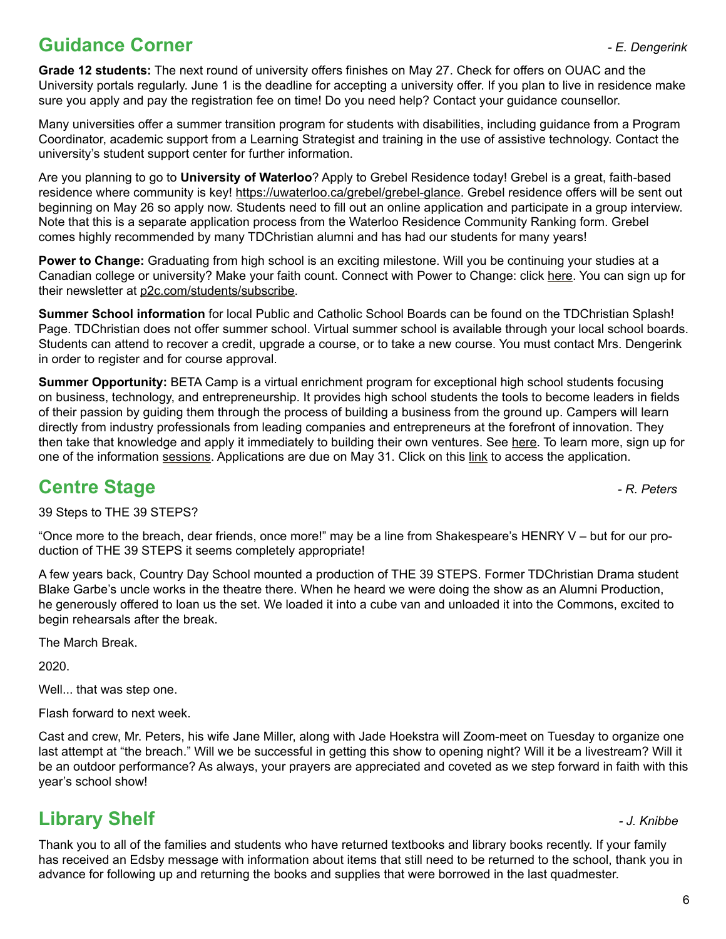## **Guidance Corner** *- E. Dengerink*

**Grade 12 students:** The next round of university offers finishes on May 27. Check for offers on OUAC and the University portals regularly. June 1 is the deadline for accepting a university offer. If you plan to live in residence make sure you apply and pay the registration fee on time! Do you need help? Contact your guidance counsellor.

Many universities offer a summer transition program for students with disabilities, including guidance from a Program Coordinator, academic support from a Learning Strategist and training in the use of assistive technology. Contact the university's student support center for further information.

Are you planning to go to **University of Waterloo**? Apply to Grebel Residence today! Grebel is a great, faith-based residence where community is key! <https://uwaterloo.ca/grebel/grebel-glance>. Grebel residence offers will be sent out beginning on May 26 so apply now. Students need to fill out an online application and participate in a group interview. Note that this is a separate application process from the Waterloo Residence Community Ranking form. Grebel comes highly recommended by many TDChristian alumni and has had our students for many years!

**Power to Change:** Graduating from high school is an exciting milestone. Will you be continuing your studies at a Canadian college or university? Make your faith count. Connect with Power to Change: click [here](https://p2c.com/students/next/). You can sign up for their newsletter at [p2c.com/students/subscribe.](http://p2c.com/students/subscribe)

**Summer School information** for local Public and Catholic School Boards can be found on the TDChristian Splash! Page. TDChristian does not offer summer school. Virtual summer school is available through your local school boards. Students can attend to recover a credit, upgrade a course, or to take a new course. You must contact Mrs. Dengerink in order to register and for course approval.

**Summer Opportunity:** BETA Camp is a virtual enrichment program for exceptional high school students focusing on business, technology, and entrepreneurship. It provides high school students the tools to become leaders in fields of their passion by guiding them through the process of building a business from the ground up. Campers will learn directly from industry professionals from leading companies and entrepreneurs at the forefront of innovation. They then take that knowledge and apply it immediately to building their own ventures. See [here.](http://www.beta.camp/?utm_source=decateacher) To learn more, sign up for one of the information [sessions.](https://get.beta.camp/infosession/?utm_source=deca3) Applications are due on May 31. Click on this [link](https://student.beta.camp/application) to access the application.

## **Centre Stage** *Centre Stage*

39 Steps to THE 39 STEPS?

"Once more to the breach, dear friends, once more!" may be a line from Shakespeare's HENRY V – but for our production of THE 39 STEPS it seems completely appropriate!

A few years back, Country Day School mounted a production of THE 39 STEPS. Former TDChristian Drama student Blake Garbe's uncle works in the theatre there. When he heard we were doing the show as an Alumni Production, he generously offered to loan us the set. We loaded it into a cube van and unloaded it into the Commons, excited to begin rehearsals after the break.

The March Break.

2020.

Well... that was step one.

Flash forward to next week.

Cast and crew, Mr. Peters, his wife Jane Miller, along with Jade Hoekstra will Zoom-meet on Tuesday to organize one last attempt at "the breach." Will we be successful in getting this show to opening night? Will it be a livestream? Will it be an outdoor performance? As always, your prayers are appreciated and coveted as we step forward in faith with this year's school show!

## **Library Shelf** *- J. Knibbe*

Thank you to all of the families and students who have returned textbooks and library books recently. If your family has received an Edsby message with information about items that still need to be returned to the school, thank you in advance for following up and returning the books and supplies that were borrowed in the last quadmester.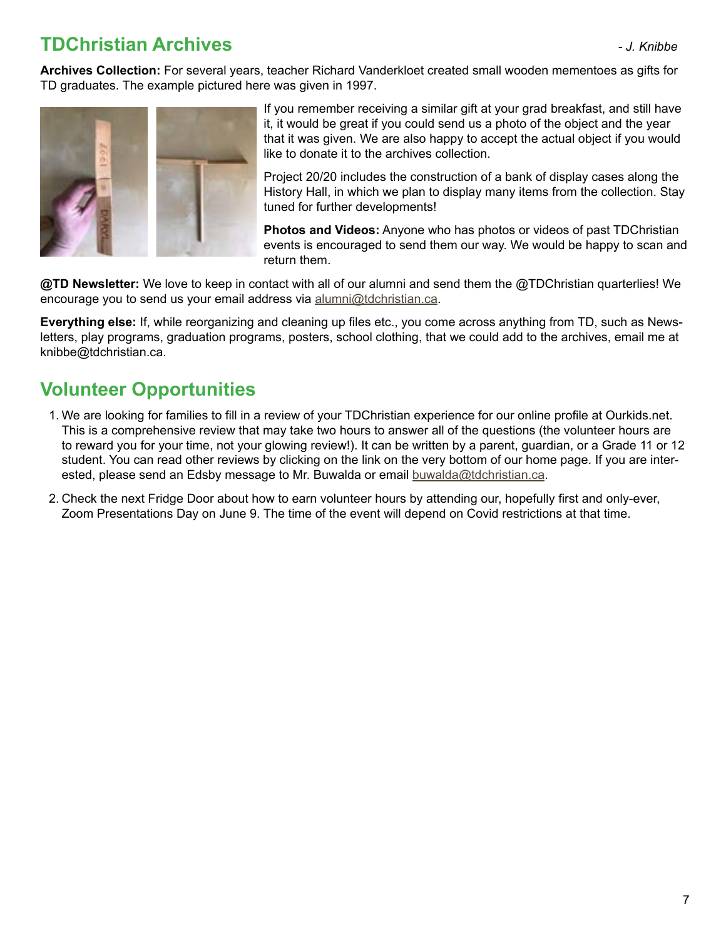## **TDChristian Archives** *- J. Knibbe*

**Archives Collection:** For several years, teacher Richard Vanderkloet created small wooden mementoes as gifts for TD graduates. The example pictured here was given in 1997.



If you remember receiving a similar gift at your grad breakfast, and still have it, it would be great if you could send us a photo of the object and the year that it was given. We are also happy to accept the actual object if you would like to donate it to the archives collection.

Project 20/20 includes the construction of a bank of display cases along the History Hall, in which we plan to display many items from the collection. Stay tuned for further developments!

**Photos and Videos:** Anyone who has photos or videos of past TDChristian events is encouraged to send them our way. We would be happy to scan and return them.

**@TD Newsletter:** We love to keep in contact with all of our alumni and send them the @TDChristian quarterlies! We encourage you to send us your email address via [alumni@tdchristian.ca](mailto:alumni%40tdchristian.ca?subject=).

**Everything else:** If, while reorganizing and cleaning up files etc., you come across anything from TD, such as Newsletters, play programs, graduation programs, posters, school clothing, that we could add to the archives, email me at knibbe@tdchristian.ca.

# **Volunteer Opportunities**

- 1. We are looking for families to fill in a review of your TDChristian experience for our online profile at Ourkids.net. This is a comprehensive review that may take two hours to answer all of the questions (the volunteer hours are to reward you for your time, not your glowing review!). It can be written by a parent, guardian, or a Grade 11 or 12 student. You can read other reviews by clicking on the link on the very bottom of our home page. If you are interested, please send an Edsby message to Mr. Buwalda or email [buwalda@tdchristian.ca.](mailto:buwalda%40tdchristian.ca?subject=)
- 2. Check the next Fridge Door about how to earn volunteer hours by attending our, hopefully first and only-ever, Zoom Presentations Day on June 9. The time of the event will depend on Covid restrictions at that time.